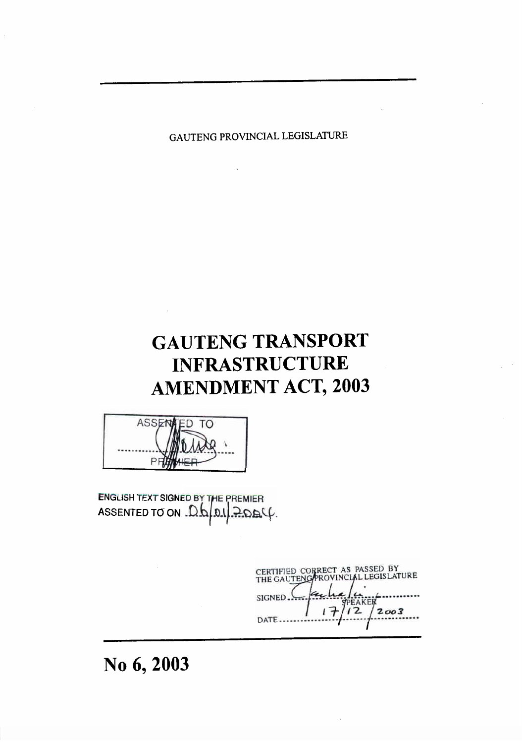GAUTENG PROVINCIAL LEGISLATURE

# **GAUTENG TRANSPORT INFRASTRUCTURE AMENDMENT ACT, 2003**



ENGLISH TEXT SIGNED BY THE PREMIER ASSENTED TO ON Db  $4049:$ 

**ACIAL LEGISLATURE SIGNED**  $12$  $2003$ DATE .\_..\_\_\_\_

# **6,2003 No**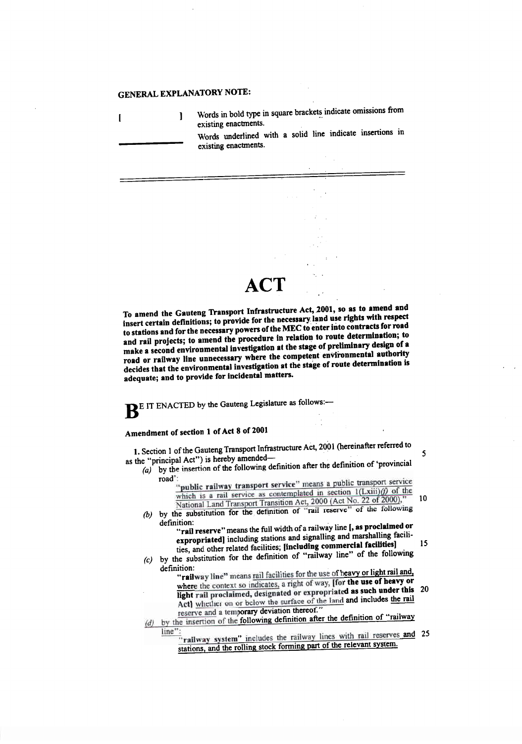## **GENERAL EXPLANATORY NOTE:**

 $\mathbf I$ 

I Words in bold type in square brackets indicate omissions from<br>existing enactments.

Words underlined with a solid line indicate insertions in existing enactments.

# **ACT**

**EXC A** SCORE CRAILWALLER IN COMPANY WHERE the competent environmental authority **decides that the environmental investigation at the stage of route determination is adequate; and to provide for incidental matters. in relations** and for the necessary present to relation to route determination; to **make a second environmental investigation at the stage of preliminary design of a intertional definitions; to provide for the necessary, land use rights with respect to stations and for the necessary powers of the MEC to enter into contracts for road** 2001, so as **to amend and To** amend the **Gauteng 'Transport** Infrastructure Act,

**BE IT ENACTED by the Gauteng Legislature as follows:—** 

## Amendment of section 1 of Act 8 of 2001

 $1$ amended-  $5$ 2001 (hereinafter referred to <sup>1</sup> of the Gauteng Transport Infrastructure Act, 1. Section as the "principal Act") is hereby amended-

*(a)* by the insertion of the following definition after the definition of 'provincial  $r = \frac{1}{2}$ 

> $\frac{1}{2000}$  Land Transport Transition Act, 2000 (Act No. 22 of 2000)," bublic railway transport solution leads in section  $1(Lxiii)/f$ . public railway transport service" means a public transport service

- definition of "rail reserve" of the following definition: (National Land Hump)
	- **formation** increasing the same of the commercial facilities] 15 ran reserve means and signalling and marshalling facili-[, **as proclaimed or "rail reserve" means the full width** of a railway line
- by the sub<br> $\det$  $\mathbf{I}_{\text{C}}$  by the substitution for the definition of "railway line" of the follow
	- **"railway line" means** rail facilities for the use of heavy or light rail and, where the context so indicates, a right of way, **[for the use of heavy or light rail proclaimed, designated or expropriated as such under this 20** Act] whether on or below the surface of the land and includes the rail reserve and a temporary deviation thereof."
- *<i>d* distributed a lample of the following definition after the definition of "railway"  $\frac{y}{v}$ :
	- railway system" includes the railway lines with rail reserves and 2 stations, and the rolling stock forming part of the relevant system.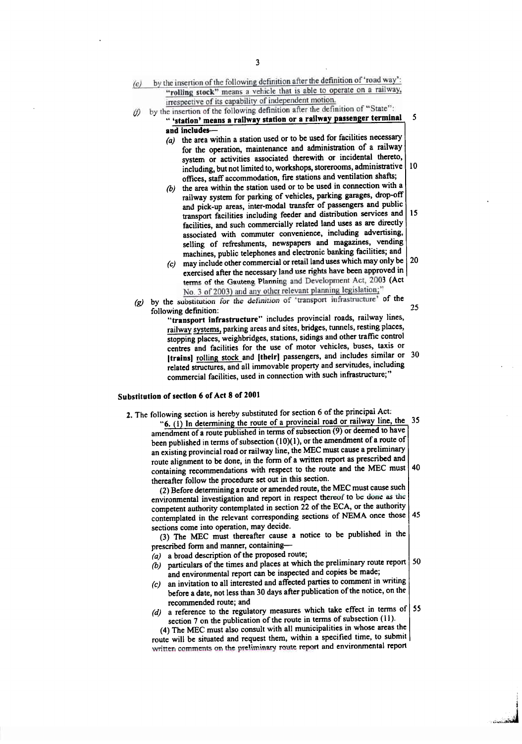| (e) | by the insertion of the following definition after the definition of 'road way':                                                                                                                                                                                                  |    |
|-----|-----------------------------------------------------------------------------------------------------------------------------------------------------------------------------------------------------------------------------------------------------------------------------------|----|
|     | "rolling stock" means a vehicle that is able to operate on a railway,                                                                                                                                                                                                             |    |
|     | irrespective of its capability of independent motion.                                                                                                                                                                                                                             |    |
| (f) | by the insertion of the following definition after the definition of "State":                                                                                                                                                                                                     | 5  |
|     | " 'station' means a railway station or a railway passenger terminal                                                                                                                                                                                                               |    |
|     | and includes-<br>(a) the area within a station used or to be used for facilities necessary                                                                                                                                                                                        |    |
|     | for the operation, maintenance and administration of a railway                                                                                                                                                                                                                    |    |
|     | system or activities associated therewith or incidental thereto,                                                                                                                                                                                                                  |    |
|     | including, but not limited to, workshops, storerooms, administrative                                                                                                                                                                                                              | 10 |
|     | offices, staff accommodation, fire stations and ventilation shafts;                                                                                                                                                                                                               |    |
|     | the area within the station used or to be used in connection with a<br>(b)                                                                                                                                                                                                        |    |
|     | railway system for parking of vehicles, parking garages, drop-off                                                                                                                                                                                                                 |    |
|     | and pick-up areas, inter-modal transfer of passengers and public                                                                                                                                                                                                                  |    |
|     | transport facilities including feeder and distribution services and                                                                                                                                                                                                               | 15 |
|     | facilities, and such commercially related land uses as are directly                                                                                                                                                                                                               |    |
|     | associated with commuter convenience, including advertising,<br>selling of refreshments, newspapers and magazines, vending                                                                                                                                                        |    |
|     | machines, public telephones and electronic banking facilities; and                                                                                                                                                                                                                |    |
|     | $(c)$ may include other commercial or retail land uses which may only be                                                                                                                                                                                                          | 20 |
|     | exercised after the necessary land use rights have been approved in                                                                                                                                                                                                               |    |
|     | terms of the Gauteng Planning and Development Act, 2003 (Act                                                                                                                                                                                                                      |    |
|     | No. 3 of 2003) and any other relevant planning legislation;"                                                                                                                                                                                                                      |    |
| (g) | by the substitution for the definition of 'transport infrastructure' of the                                                                                                                                                                                                       |    |
|     | following definition:                                                                                                                                                                                                                                                             | 25 |
|     | "transport infrastructure" includes provincial roads, railway lines,<br>railway systems, parking areas and sites, bridges, tunnels, resting places,                                                                                                                               |    |
|     | stopping places, weighbridges, stations, sidings and other traffic control                                                                                                                                                                                                        |    |
|     | centres and facilities for the use of motor vehicles, buses, taxis or                                                                                                                                                                                                             |    |
|     | [trains] rolling stock and [their] passengers, and includes similar or                                                                                                                                                                                                            | 30 |
|     | related structures, and all immovable property and servitudes, including                                                                                                                                                                                                          |    |
|     | commercial facilities, used in connection with such infrastructure:"                                                                                                                                                                                                              |    |
|     |                                                                                                                                                                                                                                                                                   |    |
|     | ubstitution of section 6 of Act 8 of 2001                                                                                                                                                                                                                                         |    |
|     | 2. The following section is hereby substituted for section 6 of the principal Act:                                                                                                                                                                                                |    |
|     | "6. (1) In determining the route of a provincial road or railway line, the 35                                                                                                                                                                                                     |    |
|     | amendment of a route published in terms of subsection (9) or deemed to have                                                                                                                                                                                                       |    |
|     | been published in terms of subsection (10)(1), or the amendment of a route of                                                                                                                                                                                                     |    |
|     | an existing provincial road or railway line, the MEC must cause a preliminary                                                                                                                                                                                                     |    |
|     | route alignment to be done, in the form of a written report as prescribed and<br>containing recommendations with respect to the route and the MEC must                                                                                                                            | 40 |
|     | thereafter follow the procedure set out in this section.                                                                                                                                                                                                                          |    |
|     | (2) Before determining a route or amended route, the MEC must cause such                                                                                                                                                                                                          |    |
|     | environmental investigation and report in respect thereof to be done as the                                                                                                                                                                                                       |    |
|     | competent authority contemplated in section 22 of the ECA, or the authority                                                                                                                                                                                                       |    |
|     | contemplated in the relevant corresponding sections of NEMA once those                                                                                                                                                                                                            | 45 |
|     | sections come into operation, may decide.<br><b>Contract Contract Contract Contract Contract Contract Contract Contract Contract Contract Contract Contract Contract Contract Contract Contract Contract Contract Contract Contract Contract Contract Contract Contract Contr</b> |    |

(3) The MEC must thereafter cause a notice to be published in prescribed form and manner, containing-

- *(a)* a broad description of the proposed route;
- $\vec{b}$ ) particulars of the times and places at which the preliminary route report  $\sim 50$ and environmental report can be inspected and copies be made;
- (c) an invitation to all interested and affected parties to comment in writing before a date, not less than 30 days after publication of the notice, on the recommended route; and
- $\alpha$  a reference to the regulatory measures which take effect in terms of 55  $\chi$  ection 7 on the publication of the route in terms of subsection (11).

written comments on the preliminary route report and environmental report (4) The MEC must also consult with all municipalities in whose areas the route will be situated and request them, within a specified time, to submit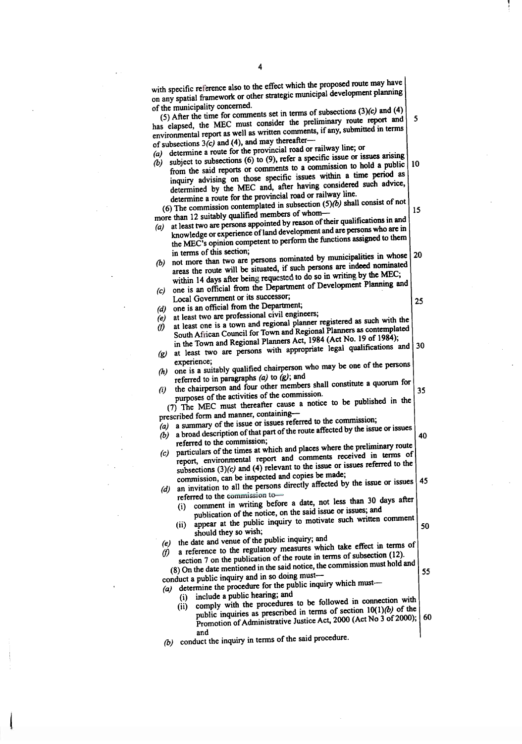$t_{\text{max}}$  the effect which the proposed route may have pecific reference also to the effect which the propose correction of any proposed the proposed of the proposed of the proposed of the proposed of the proposed of the proposed of the proposed of the proposed of the proposed  $\gamma$  spatial framework or other sumunicipality concerned.<br> $\frac{1}{2}$  and (4)  $\frac{1}{2}$ After the time to  $\text{comments}$  set in terms of subsequently  $\text{corr}$ and  $\int$  5 lapsed, the MEC must consider the premium  $r^2$  recently reported in terms  $\mu$ <sub>n</sub> mental report as well as written comments,  $\mu$  and % of subsections  $3(c)$  and (4), and may thereafter—<br>(a) determine a route for the provincial road or railway line; or<br>(b) subject to subsections (6) to (9), refer a specific issue or issues arising  $\text{v}$  determines  $3(c)$  and  $(4)$ , and may different  $\text{u}$ letermine a route for the provinci-(a) t to subsections (b) to  $(9)$ , force a specific solution to hold a public  $|10\rangle$ (b) inquiry advising on those specific issues within a time period as the said reports or community  $\omega$  a community a time period as  $\frac{1}{2}$  specific issues when  $\frac{1}{2}$  and  $\frac{1}{2}$  and  $\frac{1}{2}$  and  $\frac{1}{2}$  and  $\frac{1}{2}$  and  $\frac{1}{2}$  and  $\frac{1}{2}$  and  $\frac{1}{2}$  and  $\frac{1}{2}$  and  $\frac{1}{2}$  and  $\frac{1}{2}$  and  $\frac{1}{2}$  and  $\frac{1}{2}$  and  $\frac{1}{2}$ determine a route for the provincial road or railway line. mined by the MEC and, and having construct  $\int$  shall consist of not The commission contemplated in subsection  $(3)(2)$ 15 than 12 suitably qualified members of whom  $(a)$ st two are persons appointed by reason or user  $\frac{1}{2}$  and  $\frac{1}{2}$  are persons who are in the MEC's opinion competent to perform the functions assigned to them<br>in terms of this section;  $r_{\text{edge}}$  or experience of family development and are  $\frac{1}{r}$  assigned to them in terms of this section;<br>in the persons normalities in whose 20 areas the route will be situated, if such persons are indeed nominated more than two are persons noninated by maintepersons  $\frac{1}{2}$  $\mathbf{a}$ within 14 days after being requested to do so in writing by the MEC; within 14 days after being requested to do so in which compare and  $\sum_{n=1}^{\infty}$  an official from the Department Local Government or its successor; 25 (d) one is an official from the Department;<br>(e) at least two are professional civil engineers; at least two are professional civil engineers,<br> $\frac{1}{2}$  to registered as such with the (e) South African Council for Town and Regional Planners as contemplated (f) ast one is a town and regional planner regional Planners as contemplated in the Town and Regional Planners Act, 1984 (Act No. 19 of 1984);<br>nonprimite legal qualifications and 30 at least two are persons with appropriate legal qualifications and<br>experience;  $\mathcal{L}(\mathbf{g})$  $\alpha$  experience;  $\alpha$  is a suitably may be one of the persons is a suitably qualified challper  $\frac{1}{2}$ referred to in paragraphs  $\left(\frac{a}{b}\right)$  to  $\left(\frac{b}{b}\right)$ , and  $\left(\frac{b}{b}\right)$  constitute a quorum for  $(i)$ chairperson and four other the commission. 35 urposes of the activities of the commission. 7) The MEC must there are cause  $\alpha$  in prescribed form and manner, containing—<br>(a) a summary of the issue or issues referred to the commission; a summary of the issue of issues referred to the continuously of the issue or issues road description of that part of the fourth arrows  $\frac{1}{40}$ (b) referred to the  $\alpha$  $t$  the times at  $t$  and places where the preliminary route  $\frac{1}{t}$ report ficulars of the times at which and places where the premium of terms of (c) sort, environmental r port and commence  $\frac{1}{2}$ . sections  $(3)(c)$  and  $(4)$  relevant to the issue of the  $\frac{1}{4}$  commission, can be inspected and copies be made, invitation to all the persons of  $\frac{1}{2}$  ferred to the commission to  $\frac{1}{2}$  fore a date, not less than 30 days after  $(i)$ publication of the notice, on the said issue or issues; and publication of the notice, on the said issue of issues, where comment  $(ii)$ pear at the public 50 should they so wish;<br>the date and venue of the public inquiry; and (e) the date and venue of the public inquiry, and<br>
(f) a reference to the regulatory measures which take effect in terms of (f) section 7 on the publication of the route in terms of subsection (12). section  $7$  on the publication of the following the commission must hold and  $\cos(8)$  On the date mentioned in the said notice, the 55  $\omega$  duct a public inquiry and in so doing inductetermine the procedure for the pu i) include a public hearing; and  $\frac{1}{2}$  followed in connection with  $(ii)$ omply with the procedures to be followed in terms of  $\frac{10(1)}{b}$  of the ublic inquiries as prescribed in terms of section  $2000$  (Act No 3 of 2000); 60 ron and<br>(b) conduct the inquiry in terms of the said procedure.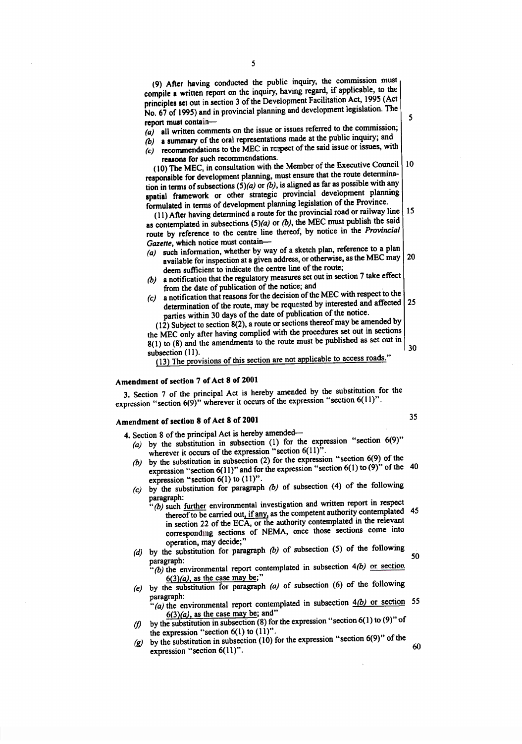| compile a written report on the inquiry, having regard, if applicable, to the<br>principles set out in section 3 of the Development Facilitation Act, 1995 (Act<br>No. 67 of 1995) and in provincial planning and development legislation. The                                                                                                                                                                                                                                                                                       | 5  |
|--------------------------------------------------------------------------------------------------------------------------------------------------------------------------------------------------------------------------------------------------------------------------------------------------------------------------------------------------------------------------------------------------------------------------------------------------------------------------------------------------------------------------------------|----|
| report must contain-<br>all written comments on the issue or issues referred to the commission;<br>(a)<br>a summary of the oral representations made at the public inquiry; and<br>(b)<br>recommendations to the MEC in respect of the said issue or issues, with<br>(c)                                                                                                                                                                                                                                                             |    |
| reasons for such recommendations.<br>(10) The MEC, in consultation with the Member of the Executive Council<br>responsible for development planning, must ensure that the route determina-                                                                                                                                                                                                                                                                                                                                           | 10 |
| tion in terms of subsections $(5)(a)$ or $(b)$ , is aligned as far as possible with any<br>spatial framework or other strategic provincial development planning<br>formulated in terms of development planning legislation of the Province.<br>(11) After having determined a route for the provincial road or railway line<br>as contemplated in subsections $(5)(a)$ or $(b)$ , the MEC must publish the said<br>route by reference to the centre line thereof, by notice in the Provincial<br>Gazette, which notice must contain- | 15 |
| such information, whether by way of a sketch plan, reference to a plan<br>(a)<br>available for inspection at a given address, or otherwise, as the MEC may<br>deem sufficient to indicate the centre line of the route;                                                                                                                                                                                                                                                                                                              | 2( |
| a notification that the regulatory measures set out in section 7 take effect<br>(b)<br>from the date of publication of the notice; and<br>a notification that reasons for the decision of the MEC with respect to the<br>(c)<br>determination of the route, may be requested by interested and affected<br>parties within 30 days of the date of publication of the notice.<br><b>122 September 12 and 12 amount of the Composition Composition Composition</b>                                                                      | 2: |
|                                                                                                                                                                                                                                                                                                                                                                                                                                                                                                                                      |    |

| 30  $t_1$  to  $(s)$  and the amendments to the route must be published as set out in subsection (11).  $\text{MFC}$  only after having complied with the procedures set out in sections  $\sum_{n=1}^{\infty}$  Subject to section  $8(2)$ , a route or sections thereof may be amended by  $\sum_{n=1}^{\infty}$ 

(13) The provisions of this section are not applicable to access roads."

### **7 of Act 8 of 2001 Amendment of section**

 $\frac{1}{2}$ ; Section  $\frac{1}{2}$  (9)" wherever it occurs of the expression "section  $6(11)$ ". **3. Section 7 of the principal** Act is **hereby amended by the substitution for the**

### **Amendment of section 8 of Act 8 of 2001**

**Section 8 of the principal Act is hereby amended-**

- $\frac{1}{2}$  and  $\frac{1}{2}$  occurs of the expression "section 6(11)".  $\mu$  the substitution in subsection (1) for the expression "section  $6(9)$ "
- $\frac{1}{2}$  are second that  $\frac{1}{2}$  and for the expression "section 6(1) to (9)" of the 40  $\frac{1}{2}$  in  $\frac{1}{2}$  is  $\frac{1}{2}$  in  $\frac{1}{2}$  to  $\frac{1}{2}$ .  $\mu$  the substitution in subsection (2) for the expression "section 6(9) of the
- $\alpha$  the substitution for paragraph (b) of subsection (4) of the following paragraph:
	- $\frac{1}{2}$  are  $\frac{1}{2}$  carried out, if any, as the competent authority contemplated 45  $'(b)$  such further environmental investigation and written report in respect in section 22 of the EC $\overline{A}$ , or the authority contemplated in the relevant corresponding sections of NEMA, once those sections come into operation, may decide;"
- 50  $\alpha$  the substitution for paragraph (b) of subsection (5) of the following para sek<br>paragraph:

 $(\phi)$  the environmental report contemplated in subsection  $4(b)$  or section  $6(3)(a)$ , as the case may be;"

- (e) by the substitution for paragraph  $(a)$  of subsection (6) of the following paragraph:
	- $f(a)$  the environmental report contemplated in subsection  $4(b)$  or section 55  $f(3)/a$ ) as the case may be; and"
- be expression "section  $6(1)$  to  $(11)$ ".  $\frac{1}{2}$  the substitution in subsection (8) for the expression "section 6(1) to (9)" of
- $\frac{1}{2}$  the substitution in subsection (10) for the expression "section 6(9)" of the  $\boldsymbol{\mathcal{g}}$  $6(11)"$ . 60 expression "section 6(11)".

After having conducted the public inquiry, the commission must

35

5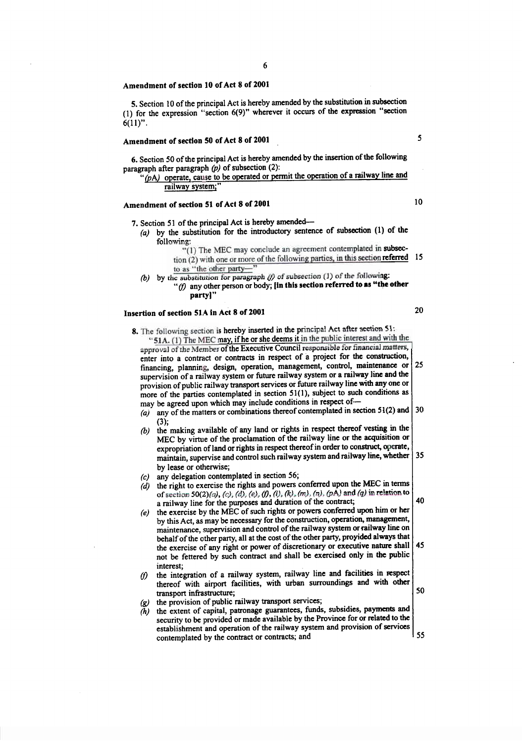#### **Amendment of section 10 of Act 8 of 2001**

**6(11)".** 6(g)" **wherever it occurs of the expression "section** (1) for the expression "section **5. Section 10 of the principal** Act is **hereby amended by the substitution in subsection**

#### **50 of Act 8 of 2001 Amendment of section**

aragraph after paragraph  $(p)$  of subsection (2): **6.** Section 50 of the principal Act is hereby amended by the insertion of the following

## (pA) operate, cause to be operated or permit the operation of a railway line and railway system;"

## Amendment of **section 51 of Act** 8 **of 2001**

- 7. Section 51 of the principal Act is hereby amended-
	- *(a)* by the substitution for the introductory sentence of subsection (1) of the following:
		- "( 1) The MEC may conclude an agreement contemplated in subsec-
		- 15  $r$  (1) The MEC may conclude an agreement concemprated in subsection of  $(2)$  with one or more of the following parties, in this section referred to as "the other party-
	- (b) by the substitution for paragraph  $(f)$  of subsection (1) of the following:
		- substitution for paragraph  $(f)$  of subsection (1) of the following:<br> $(f)$  any other person or body; **[in this section referred to as "the other**"

#### **51A in** Act 8 **of 2001 Insertion of section**

25 ny of the matters or combinations thereof contemplated in section  $51(2)$  and  $\vert$  30 (3); (b) the making available of any land or rights in respect thereof vesting in the hofe of the parties contemplated in countries  $\epsilon_1$ ,  $\epsilon_2$ ,  $\epsilon_3$ ,  $\epsilon_4$ ,  $\epsilon_5$ hore of the parties contemplated in section  $51(1)$ , subject to such conditions as rovision of public railway transport services or future railway line with any one or inancing, planning, design, operation, management, control, maintenance or supervision of a railway system or future railway system or a railway line and the 51A. (1) The MEC may, if he or she deems it in the public interest and with the approval of the Member of the Executive Council responsible for financial matters, enter into a contract or contracts in respect of a project for the construction, **The following section is hereby inserted in the principal Act after section 31:** 

- 35  $x$ propriation of land or rights in respect thereof in order to construct, operate, maintain, supervise and control such railway system and railway line, whether by lease or otherwise; MEC by virtue of the proclamation of the railway line or the acquisition or
- $(c)$  any delegation contemplated in section 56;
- of section 50(2)(a), (c), (d), (e), (f), (k), (m), (n), (pA) and (q) in relation to a railway line for the purposes and duration of the contract;  $(d)$  the right to exercise the rights and powers conferred upon the MEC in terms
- 45 behalf of the other party, all at the cost of the other party, provided always that the exercise of any right or power of discretionary or executive nature shall not be fettered by such contract and shall be exercised only in tbe public interest; maintenance, supervision and control of the railway system or railway line on by this Act, as may be necessary for the construction, operation, management,  $(e)$  the exercise by the MEC of such rights or powers conferred upon him or her
- the integration of a railway system, railway line and facilities in respect  $\omega$ thereof with airport facilities, with urban surroundings and with other transport infrastructure;
- the provision of public railway transport services;  $\left( \mathbf{g} \right)$
- the extent of capital, patronage guarantees, funds, subsidies, payments and  $(h)$ security to be provided or made available by the Province for or related to the establishment and operation of the railway system and provision of services 55 contemplated by the contract or contracts; and

20

10

5



50

40